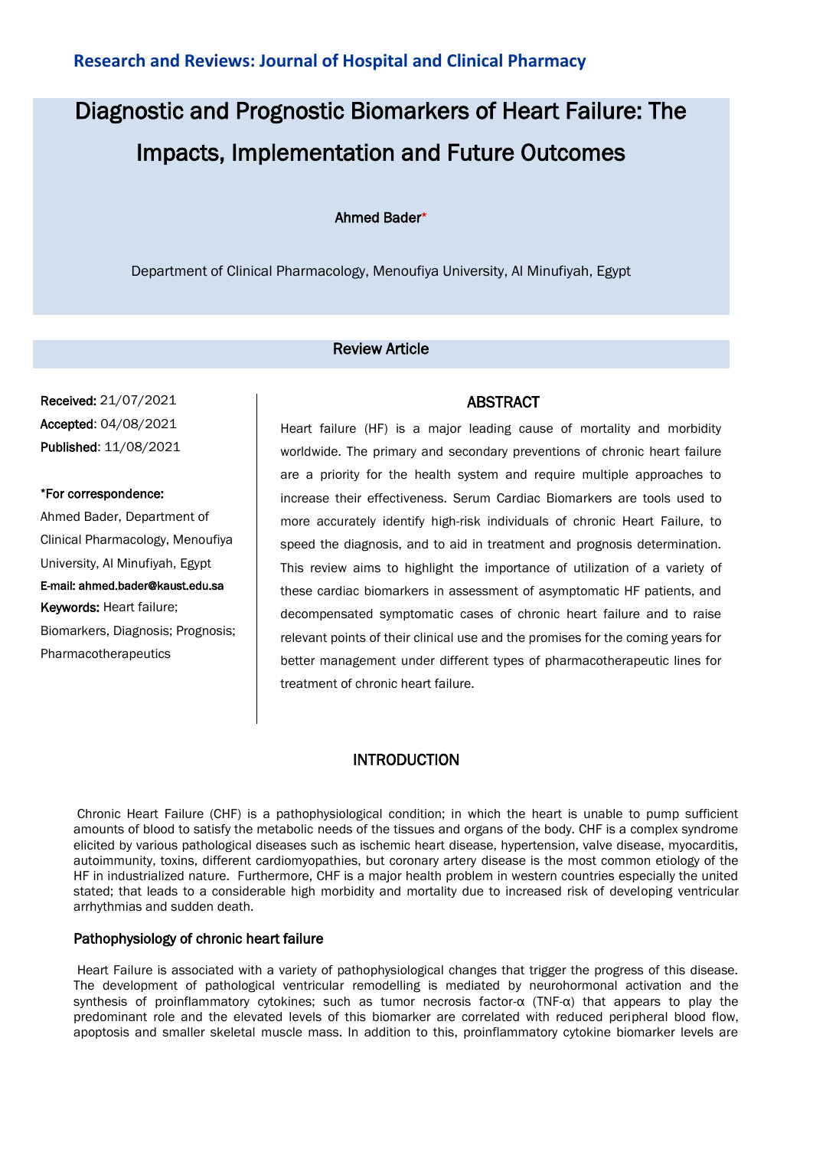# Diagnostic and Prognostic Biomarkers of Heart Failure: The Impacts, Implementation and Future Outcomes

## Ahmed Bader\*

Department of Clinical Pharmacology, Menoufiya University, Al Minufiyah, Egypt

## Review Article

Received: 21/07/2021 Accepted: 04/08/2021 Published: 11/08/2021

\*For correspondence: Ahmed Bader, Department of Clinical Pharmacology, Menoufiya University, Al Minufiyah, Egypt E-mail: ahmed.bader@kaust.edu.sa Keywords: Heart failure; Biomarkers, Diagnosis; Prognosis; Pharmacotherapeutics

Heart failure (HF) is a major leading cause of mortality and morbidity worldwide. The primary and secondary preventions of chronic heart failure are a priority for the health system and require multiple approaches to increase their effectiveness. Serum Cardiac Biomarkers are tools used to more accurately identify high-risk individuals of chronic Heart Failure, to speed the diagnosis, and to aid in treatment and prognosis determination. This review aims to highlight the importance of utilization of a variety of these cardiac biomarkers in assessment of asymptomatic HF patients, and decompensated symptomatic cases of chronic heart failure and to raise relevant points of their clinical use and the promises for the coming years for better management under different types of pharmacotherapeutic lines for treatment of chronic heart failure.

ABSTRACT

# **INTRODUCTION**

Chronic Heart Failure (CHF) is a pathophysiological condition; in which the heart is unable to pump sufficient amounts of blood to satisfy the metabolic needs of the tissues and organs of the body. CHF is a complex syndrome elicited by various pathological diseases such as ischemic heart disease, hypertension, valve disease, myocarditis, autoimmunity, toxins, different cardiomyopathies, but coronary artery disease is the most common etiology of the HF in industrialized nature. Furthermore, CHF is a major health problem in western countries especially the united stated; that leads to a considerable high morbidity and mortality due to increased risk of developing ventricular arrhythmias and sudden death.

#### Pathophysiology of chronic heart failure

Heart Failure is associated with a variety of pathophysiological changes that trigger the progress of this disease. The development of pathological ventricular remodelling is mediated by neurohormonal activation and the synthesis of proinflammatory cytokines; such as tumor necrosis factor-α (TNF-α) that appears to play the predominant role and the elevated levels of this biomarker are correlated with reduced peripheral blood flow, apoptosis and smaller skeletal muscle mass. In addition to this, proinflammatory cytokine biomarker levels are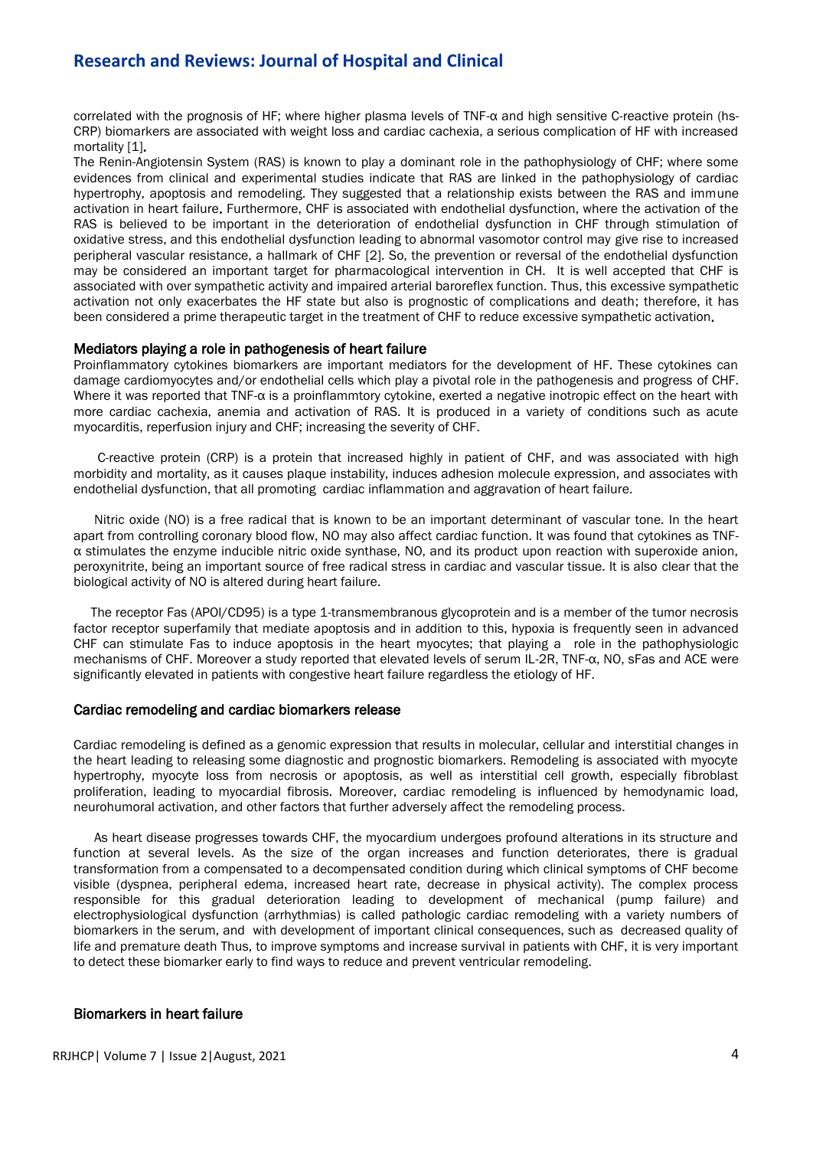# **Research and Reviews: Journal of Hospital and Clinical**

correlated with the prognosis of HF; where higher plasma levels of TNF-α and high sensitive C-reactive protein (hs-CRP)biomarkersare associated with weight loss and cardiac cachexia, a serious complication of HF with increased mortality [1].

The Renin-Angiotensin System (RAS) is known to play a dominant role in the pathophysiology of CHF; where some evidences from clinical and experimental studies indicate that RAS are linked in the pathophysiology of cardiac hypertrophy, apoptosis and remodeling. They suggested that a relationship exists between the RAS and immune activation in heart failure. Furthermore,CHF is associated with endothelial dysfunction, where the activation of the RAS is believed to be important in the deterioration of endothelial dysfunction in CHF through stimulation of oxidative stress, and this endothelial dysfunction leading to abnormal vasomotor control may give rise to increased peripheral vascular resistance, a hallmark of CHF [2]. So, the prevention or reversal of the endothelial dysfunction may be considered an important target for pharmacological intervention in CH. It is well accepted that CHF is associated with over sympathetic activity and impaired arterial baroreflex function. Thus, this excessive sympathetic activation not only exacerbates the HF state but also is prognostic of complications and death; therefore, it has been considered a prime therapeutic target in the treatment of CHF to reduce excessive sympathetic activation.

#### Mediators playing a role in pathogenesis of heart failure

Proinflammatory cytokines biomarkers are important mediators for the development of HF. These cytokines can damage cardiomyocytes and/or endothelial cells which play a pivotal role in the pathogenesis and progress of CHF. Where it was reported that TNF-α is a proinflammtory cytokine, exerted a negative inotropic effect on the heart with more cardiac cachexia, anemia and activation of RAS. It is produced in a variety of conditions such as acute myocarditis, reperfusion injury and CHF; increasing the severity of CHF.

 C-reactive protein (CRP) is a protein that increased highly in patient of CHF, and was associated with high morbidity and mortality, as it causes plaque instability, induces adhesion molecule expression, and associates with endothelial dysfunction, that all promoting cardiac inflammation and aggravation of heart failure.

 Nitric oxide (NO) is a free radical that is known to be an important determinant of vascular tone. In the heart apart from controlling coronary blood flow, NO may also affect cardiac function. It was found that cytokines as TNFα stimulates the enzyme inducible nitric oxide synthase, NO, and its product upon reaction with superoxide anion, peroxynitrite, being an important source of free radical stress in cardiac and vascular tissue. It is also clear that the biological activity of NO is altered during heart failure.

 The receptor Fas (APOl/CD95) is a type 1-transmembranous glycoprotein and is a member of the tumor necrosis factor receptor superfamily that mediate apoptosis and in addition to this, hypoxia is frequently seen in advanced CHF can stimulate Fas to induce apoptosis in the heart myocytes; that playing a role in the pathophysiologic mechanisms of CHF. Moreover a study reported that elevated levels of serum IL-2R, TNF-α, NO, sFas and ACE were significantly elevated in patients with congestive heart failure regardless the etiology of HF.

#### Cardiac remodeling and cardiac biomarkers release

Cardiac remodeling is defined as a genomic expression that results in molecular, cellular and interstitial changes in the heart leading to releasing some diagnostic and prognostic biomarkers. Remodeling is associated with myocyte hypertrophy, myocyte loss from necrosis or apoptosis, as well as interstitial cell growth, especially fibroblast proliferation, leading to myocardial fibrosis*.* Moreover, cardiac remodeling is influenced by hemodynamic load, neurohumoral activation, and other factors that further adversely affect the remodeling process.

 As heart disease progresses towards CHF, the myocardium undergoes profound alterations in its structure and function at several levels. As the size of the organ increases and function deteriorates, there is gradual transformation from a compensated to a decompensated condition during which clinical symptoms of CHF become visible (dyspnea, peripheral edema, increased heart rate, decrease in physical activity). The complex process responsible for this gradual deterioration leading to development of mechanical (pump failure) and electrophysiological dysfunction (arrhythmias) is called pathologic cardiac remodeling with a variety numbers of biomarkers in the serum, and with development of important clinical consequences, such as decreased quality of life and premature death Thus, to improve symptoms and increase survival in patients with CHF, it is very important to detect these biomarker early to find ways to reduce and prevent ventricular remodeling.

#### Biomarkers in heart failure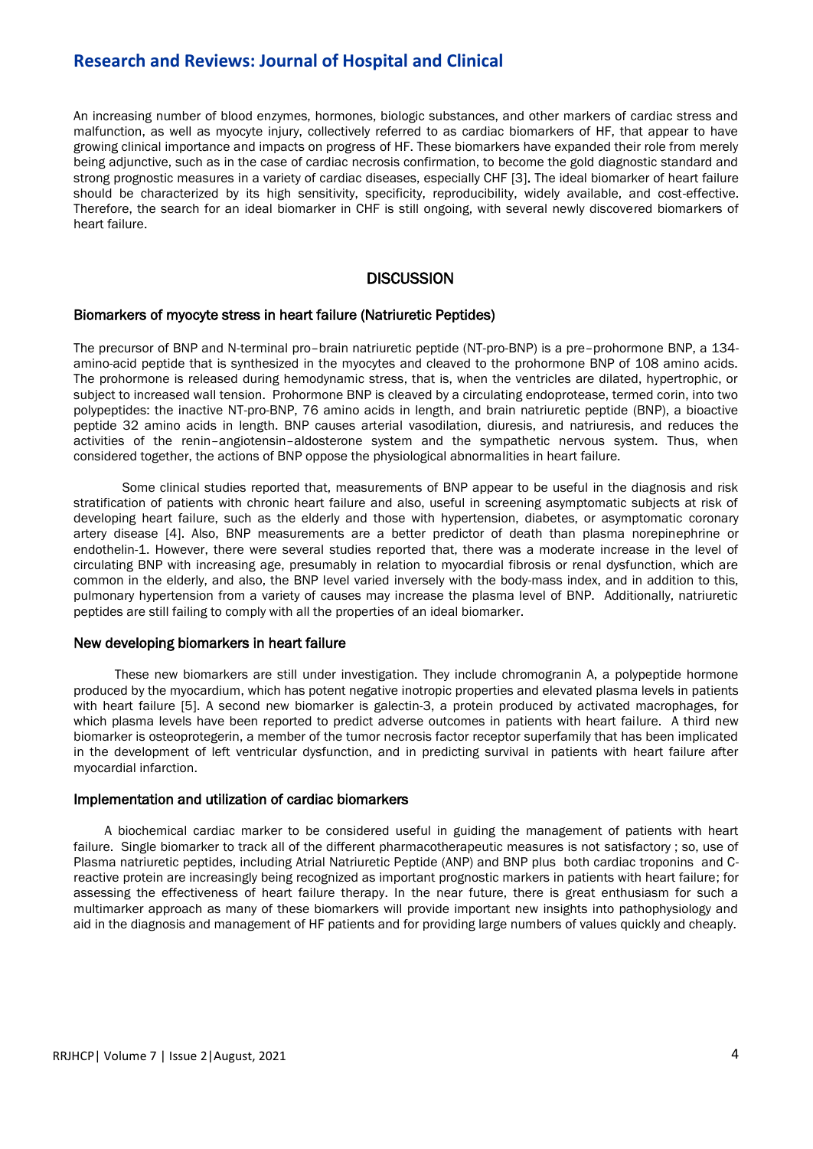# **Research and Reviews: Journal of Hospital and Clinical**

An increasing number of blood enzymes, hormones, biologic substances, and other markers of cardiac stress and malfunction, as well as myocyte injury, collectively referred to as cardiac biomarkers of HF, that appear to have growing clinical importance and impacts on progress of HF.These biomarkers have expanded their role from merely being adjunctive, such as in the case of cardiac necrosis confirmation, to become the gold diagnostic standard and strong prognostic measures in a variety of cardiac diseases, especially CHF [3]. The ideal biomarker of heart failure should be characterized by its high sensitivity, specificity, reproducibility, widely available, and cost-effective. Therefore, the search for an ideal biomarker in CHF is still ongoing, with several newly discovered biomarkers of heart failure.

## **DISCUSSION**

#### Biomarkers of myocyte stress in heart failure (Natriuretic Peptides)

The precursor of BNP and N-terminal pro–brain natriuretic peptide (NT-pro-BNP) is a pre–prohormone BNP, a 134 amino-acid peptide that is synthesized in the myocytes and cleaved to the prohormone BNP of 108 amino acids. The prohormone is released during hemodynamic stress, that is, when the ventricles are dilated, hypertrophic, or subject to increased wall tension. Prohormone BNP is cleaved by a circulating endoprotease, termed corin, into two polypeptides: the inactive NT-pro-BNP, 76 amino acids in length, and brain natriuretic peptide (BNP), a bioactive peptide 32 amino acids in length. BNP causes arterial vasodilation, diuresis, and natriuresis, and reduces the activities of the renin–angiotensin–aldosterone system and the sympathetic nervous system. Thus, when considered together, the actions of BNP oppose the physiological abnormalities in heart failure.

 Some clinical studies reported that, measurements of BNP appear to be useful in the diagnosis and risk stratification of patients with chronic heart failure and also, useful in screening asymptomatic subjects at risk of developing heart failure, such as the elderly and those with hypertension, diabetes, or asymptomatic coronary artery disease [4]. Also, BNP measurements are a better predictor of death than plasma norepinephrine or endothelin-1. However, there were several studies reported that, there was a moderate increase in the level of circulating BNP with increasing age, presumably in relation to myocardial fibrosis or renal dysfunction, which are common in the elderly, and also, the BNP level varied inversely with the body-mass index, and in addition to this, pulmonary hypertension from a variety of causes may increase the plasma level of BNP. Additionally, natriuretic peptides are still failing to comply with all the properties of an ideal biomarker.

#### New developing biomarkers in heart failure

 These new biomarkers are still under investigation. They include chromogranin A, a polypeptide hormone produced by the myocardium, which has potent negative inotropic properties and elevated plasma levels in patients with heart failure [5]. A second new biomarker is galectin-3, a protein produced by activated macrophages, for which plasma levels have been reported to predict adverse outcomes in patients with heart failure. A third new biomarker is osteoprotegerin, a member of the tumor necrosis factor receptor superfamily that has been implicated in the development of left ventricular dysfunction, and in predicting survival in patients with heart failure after myocardial infarction.

#### Implementation and utilization of cardiac biomarkers

 A biochemical cardiac marker to be considered useful in guiding the management of patients with heart failure. Single biomarker to track all of the different pharmacotherapeutic measures is not satisfactory ; so, use of Plasma natriuretic peptides, including Atrial Natriuretic Peptide (ANP) and BNP plus both cardiac troponins and Creactive protein are increasingly being recognized as important prognostic markers in patients with heart failure; for assessing the effectiveness of heart failure therapy. In the near future, there is great enthusiasm for such a multimarker approach as many of these biomarkers will provide important new insights into pathophysiology and aid in the diagnosis and management of HF patients and for providing large numbers of values quickly and cheaply.